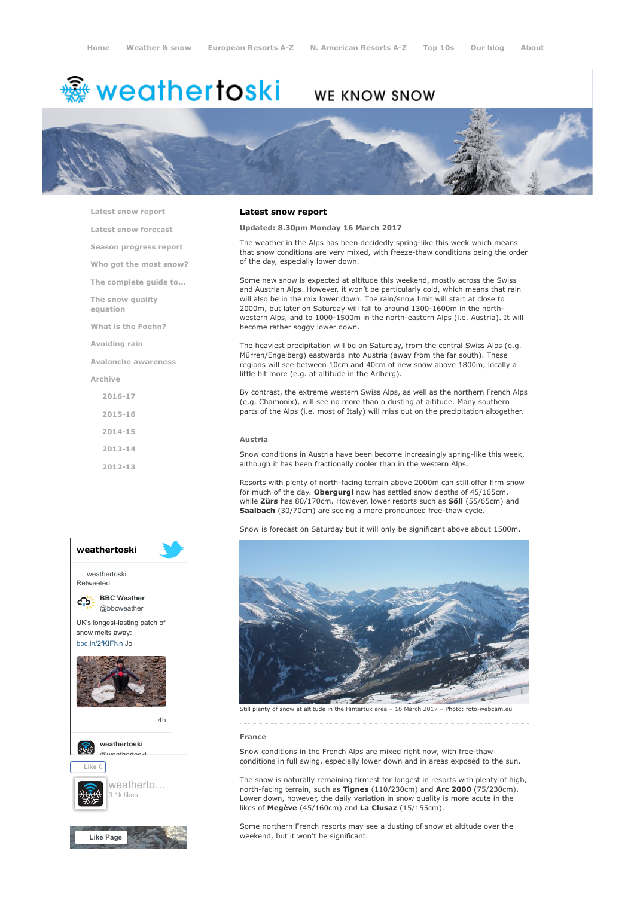# <del>鑾</del> weathertoski

# WE KNOW SNOW



[Latest snow report](https://www.weathertoski.co.uk/weather-snow/latest-snow-report/)

[Latest snow forecast](https://www.weathertoski.co.uk/weather-snow/latest-snow-forecast/)

[Season progress report](https://www.weathertoski.co.uk/weather-snow/season-progress-report/)

[Who got the most snow?](https://www.weathertoski.co.uk/weather-snow/who-got-the-most-snow/)

[The complete guide to...](https://www.weathertoski.co.uk/weather-snow/the-complete-guide-to/)

[The snow quality](https://www.weathertoski.co.uk/weather-snow/the-snow-quality-equation/)

[What is the Foehn?](https://www.weathertoski.co.uk/weather-snow/what-is-the-foehn/)

[Avoiding rain](https://www.weathertoski.co.uk/weather-snow/avoiding-rain/)

equation

[Avalanche awareness](https://www.weathertoski.co.uk/weather-snow/avalanche-awareness/)

[Archive](https://www.weathertoski.co.uk/weather-snow/archive/)

[2016-17](https://www.weathertoski.co.uk/weather-snow/archive/2016-17/) [2015-16](https://www.weathertoski.co.uk/weather-snow/archive/2015-16/) [2014-15](https://www.weathertoski.co.uk/weather-snow/archive/2014-15/) [2013-14](https://www.weathertoski.co.uk/weather-snow/archive/2013-14/)

[2012-13](https://www.weathertoski.co.uk/weather-snow/archive/2012-13/)



# Latest snow report

#### Updated: 8.30pm Monday 16 March 2017

The weather in the Alps has been decidedly spring-like this week which means that snow conditions are very mixed, with freeze-thaw conditions being the order of the day, especially lower down.

Some new snow is expected at altitude this weekend, mostly across the Swiss and Austrian Alps. However, it won't be particularly cold, which means that rain will also be in the mix lower down. The rain/snow limit will start at close to 2000m, but later on Saturday will fall to around 1300-1600m in the northwestern Alps, and to 1000-1500m in the north-eastern Alps (i.e. Austria). It will become rather soggy lower down.

The heaviest precipitation will be on Saturday, from the central Swiss Alps (e.g. Mürren/Engelberg) eastwards into Austria (away from the far south). These regions will see between 10cm and 40cm of new snow above 1800m, locally a little bit more (e.g. at altitude in the Arlberg).

By contrast, the extreme western Swiss Alps, as well as the northern French Alps (e.g. Chamonix), will see no more than a dusting at altitude. Many southern parts of the Alps (i.e. most of Italy) will miss out on the precipitation altogether.

#### Austria

Snow conditions in Austria have been become increasingly spring-like this week, although it has been fractionally cooler than in the western Alps.

Resorts with plenty of north-facing terrain above 2000m can still offer firm snow for much of the day. Obergurgl now has settled snow depths of 45/165cm, while Zürs has 80/170cm. However, lower resorts such as Söll (55/65cm) and Saalbach (30/70cm) are seeing a more pronounced free-thaw cycle.

Snow is forecast on Saturday but it will only be significant above about 1500m.



#### France

Snow conditions in the French Alps are mixed right now, with free-thaw conditions in full swing, especially lower down and in areas exposed to the sun.

The snow is naturally remaining firmest for longest in resorts with plenty of high, north-facing terrain, such as Tignes (110/230cm) and Arc 2000 (75/230cm). Lower down, however, the daily variation in snow quality is more acute in the likes of Megève (45/160cm) and La Clusaz (15/155cm).

Some northern French resorts may see a dusting of snow at altitude over the weekend, but it won't be significant.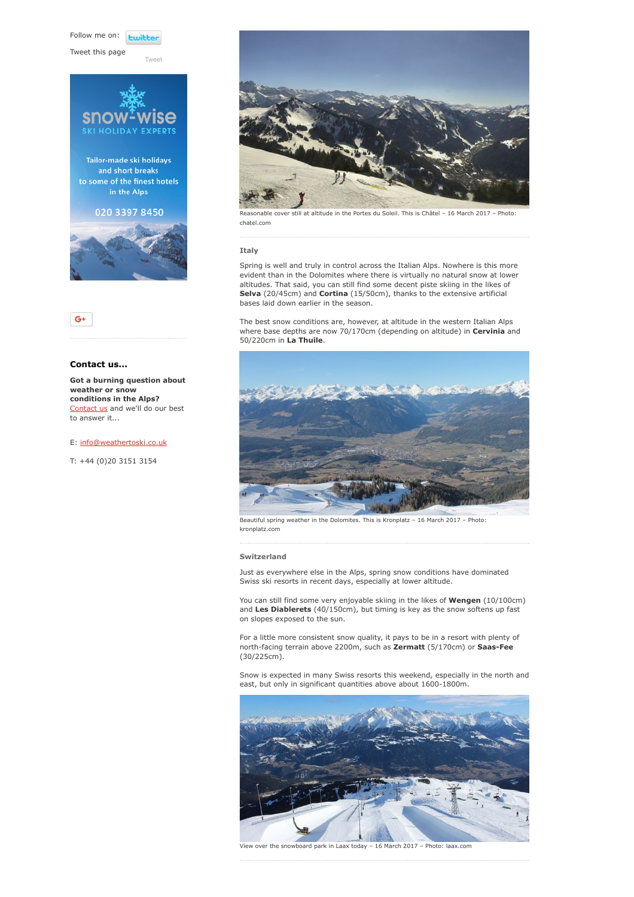Follow me on: **Lwitte** 

[Tweet](https://twitter.com/intent/tweet?original_referer=https%3A%2F%2Fwww.weathertoski.co.uk%2Fweather-snow%2Farchive%2Fsnow-report-16-03-2017%2F&ref_src=twsrc%5Etfw&text=Weather%20to%20ski%20-%20Snow%20report%20-%2016%20March%202017&tw_p=tweetbutton&url=https%3A%2F%2Fwww.weathertoski.co.uk%2Fweather-snow%2Farchive%2Fsnow-report-16-03-2017%2F)

Tweet this page





# Contact us...

Got a burning question about weather or snow conditions in the Alps? [Contact us](https://www.weathertoski.co.uk/about-1/contact-us/) and we'll do our best to answer it...

## E: [info@weathertoski.co.uk](mailto:fraser@weathertoski.co.uk)

T: +44 (0)20 3151 3154



Reasonable cover still at altitude in the Portes du Soleil. This is Châtel – 16 March 2017 – Photo: chatel.com

## Italy

Spring is well and truly in control across the Italian Alps. Nowhere is this more evident than in the Dolomites where there is virtually no natural snow at lower altitudes. That said, you can still find some decent piste skiing in the likes of Selva (20/45cm) and Cortina (15/50cm), thanks to the extensive artificial bases laid down earlier in the season.

The best snow conditions are, however, at altitude in the western Italian Alps where base depths are now 70/170cm (depending on altitude) in Cervinia and 50/220cm in La Thuile.



Beautiful spring weather in the Dolomites. This is Kronplatz – 16 March 2017 – Photo: kronplatz.com

#### Switzerland

Just as everywhere else in the Alps, spring snow conditions have dominated Swiss ski resorts in recent days, especially at lower altitude.

You can still find some very enjoyable skiing in the likes of Wengen (10/100cm) and Les Diablerets (40/150cm), but timing is key as the snow softens up fast on slopes exposed to the sun.

For a little more consistent snow quality, it pays to be in a resort with plenty of north-facing terrain above 2200m, such as **Zermatt** (5/170cm) or **Saas-Fee** (30/225cm).

Snow is expected in many Swiss resorts this weekend, especially in the north and east, but only in significant quantities above about 1600-1800m.



View over the snowboard park in Laax today – 16 March 2017 – Photo: laax.com